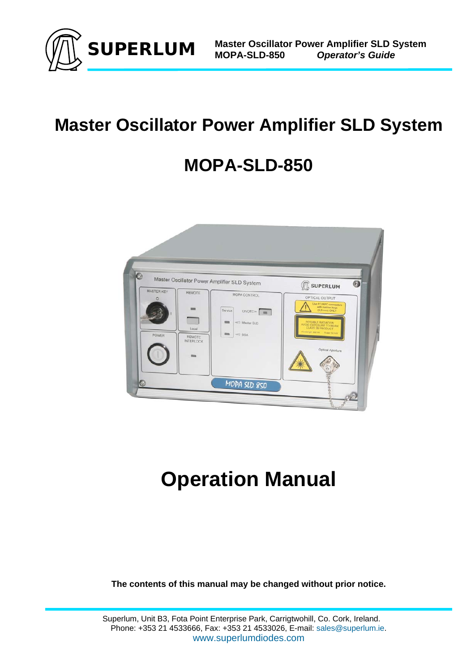

# **Master Oscillator Power Amplifier SLD System**

# **MOPA-SLD-850**



# **Operation Manual**

**The contents of this manual may be changed without prior notice.**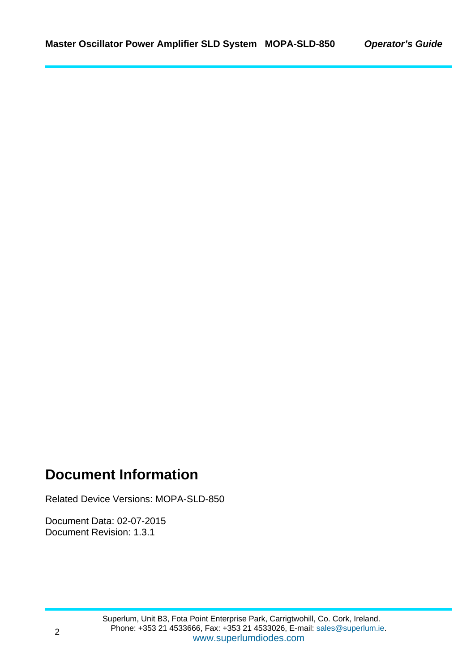### **Document Information**

Related Device Versions: MOPA-SLD-850

Document Data: 02-07-2015 Document Revision: 1.3.1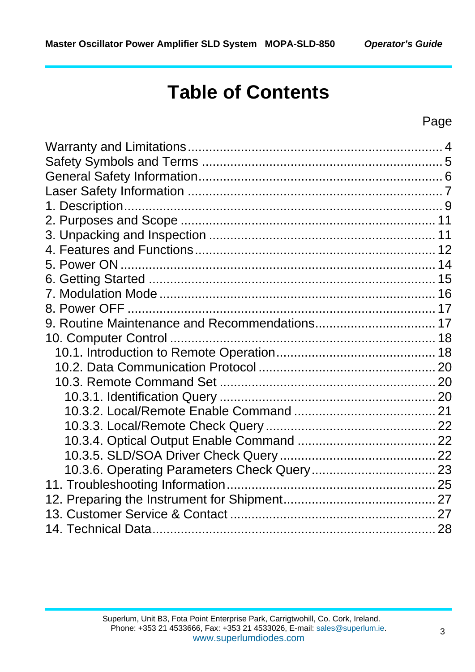# **Table of Contents**

### Page

| 9. Routine Maintenance and Recommendations 17 |  |
|-----------------------------------------------|--|
|                                               |  |
|                                               |  |
|                                               |  |
|                                               |  |
|                                               |  |
|                                               |  |
|                                               |  |
|                                               |  |
|                                               |  |
|                                               |  |
|                                               |  |
|                                               |  |
|                                               |  |
|                                               |  |
|                                               |  |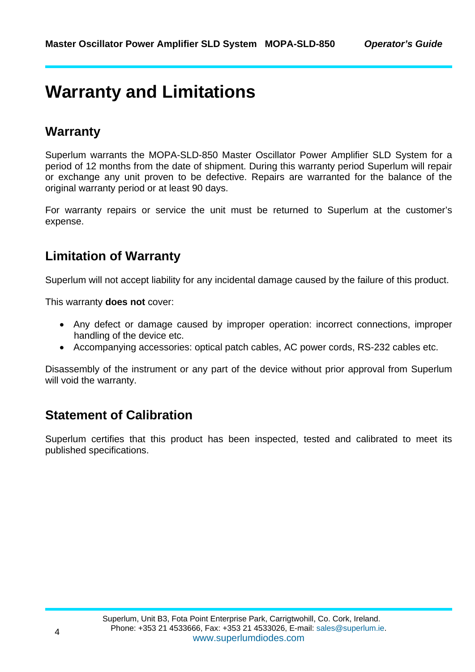## **Warranty and Limitations**

### **Warranty**

Superlum warrants the MOPA-SLD-850 Master Oscillator Power Amplifier SLD System for a period of 12 months from the date of shipment. During this warranty period Superlum will repair or exchange any unit proven to be defective. Repairs are warranted for the balance of the original warranty period or at least 90 days.

For warranty repairs or service the unit must be returned to Superlum at the customer's expense.

### **Limitation of Warranty**

Superlum will not accept liability for any incidental damage caused by the failure of this product.

This warranty **does not** cover:

- Any defect or damage caused by improper operation: incorrect connections, improper handling of the device etc.
- Accompanying accessories: optical patch cables, AC power cords, RS-232 cables etc.

Disassembly of the instrument or any part of the device without prior approval from Superlum will void the warranty.

### **Statement of Calibration**

Superlum certifies that this product has been inspected, tested and calibrated to meet its published specifications.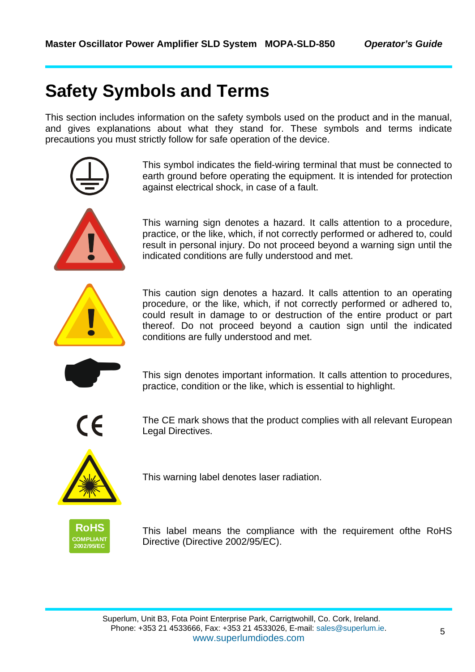# **Safety Symbols and Terms**

This section includes information on the safety symbols used on the product and in the manual, and gives explanations about what they stand for. These symbols and terms indicate precautions you must strictly follow for safe operation of the device.



This symbol indicates the field-wiring terminal that must be connected to earth ground before operating the equipment. It is intended for protection against electrical shock, in case of a fault.

This warning sign denotes a hazard. It calls attention to a procedure, practice, or the like, which, if not correctly performed or adhered to, could result in personal injury. Do not proceed beyond a warning sign until the indicated conditions are fully understood and met.



This caution sign denotes a hazard. It calls attention to an operating procedure, or the like, which, if not correctly performed or adhered to, could result in damage to or destruction of the entire product or part thereof. Do not proceed beyond a caution sign until the indicated conditions are fully understood and met.

This sign denotes important information. It calls attention to procedures, practice, condition or the like, which is essential to highlight. practice, condition or the like, which is essential to highlight.



The CE mark shows that the product complies with all relevant European Legal Directives.



This warning label denotes laser radiation.



This label means the compliance with the requirement ofthe RoHS Directive (Directive 2002/95/EC).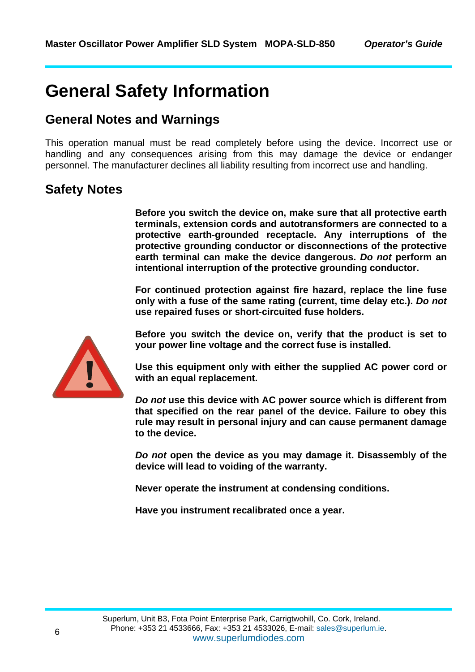# **General Safety Information**

#### **General Notes and Warnings**

This operation manual must be read completely before using the device. Incorrect use or handling and any consequences arising from this may damage the device or endanger personnel. The manufacturer declines all liability resulting from incorrect use and handling.

#### **Safety Notes**

**Before you switch the device on, make sure that all protective earth terminals, extension cords and autotransformers are connected to a protective earth-grounded receptacle. Any interruptions of the protective grounding conductor or disconnections of the protective earth terminal can make the device dangerous.** *Do not* **perform an intentional interruption of the protective grounding conductor.** 

**For continued protection against fire hazard, replace the line fuse only with a fuse of the same rating (current, time delay etc.).** *Do not* **use repaired fuses or short-circuited fuse holders.** 



**Before you switch the device on, verify that the product is set to your power line voltage and the correct fuse is installed.** 

**Use this equipment only with either the supplied AC power cord or with an equal replacement.** 

*Do not* **use this device with AC power source which is different from that specified on the rear panel of the device. Failure to obey this rule may result in personal injury and can cause permanent damage to the device.** 

*Do not* **open the device as you may damage it. Disassembly of the device will lead to voiding of the warranty.** 

**Never operate the instrument at condensing conditions.** 

**Have you instrument recalibrated once a year.**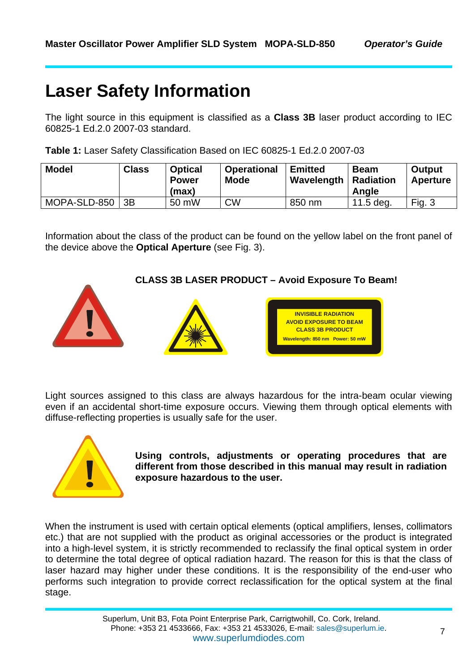# **Laser Safety Information**

The light source in this equipment is classified as a **Class 3B** laser product according to IEC 60825-1 Ed.2.0 2007-03 standard.

|  |  |  | Table 1: Laser Safety Classification Based on IEC 60825-1 Ed.2.0 2007-03 |
|--|--|--|--------------------------------------------------------------------------|
|--|--|--|--------------------------------------------------------------------------|

| <b>Model</b> | <b>Class</b> | <b>Optical</b><br><b>Power</b><br>(max) | <b>Operational</b><br><b>Mode</b> | <b>Emitted</b><br>Wavelength | <b>Beam</b><br><b>Radiation</b><br>Angle | <b>Output</b><br>Aperture |
|--------------|--------------|-----------------------------------------|-----------------------------------|------------------------------|------------------------------------------|---------------------------|
| MOPA-SLD-850 | 3B           | 50 mW                                   | <b>CW</b>                         | 850 nm                       | 11.5 deg.                                | Fig. $3$                  |

Information about the class of the product can be found on the yellow label on the front panel of the device above the **Optical Aperture** (see Fig. 3).

#### **CLASS 3B LASER PRODUCT – Avoid Exposure To Beam!**



Light sources assigned to this class are always hazardous for the intra-beam ocular viewing even if an accidental short-time exposure occurs. Viewing them through optical elements with diffuse-reflecting properties is usually safe for the user.



! **Using controls, adjustments or operating procedures that are different from those described in this manual may result in radiation exposure hazardous to the user.** 

When the instrument is used with certain optical elements (optical amplifiers, lenses, collimators etc.) that are not supplied with the product as original accessories or the product is integrated into a high-level system, it is strictly recommended to reclassify the final optical system in order to determine the total degree of optical radiation hazard. The reason for this is that the class of laser hazard may higher under these conditions. It is the responsibility of the end-user who performs such integration to provide correct reclassification for the optical system at the final stage.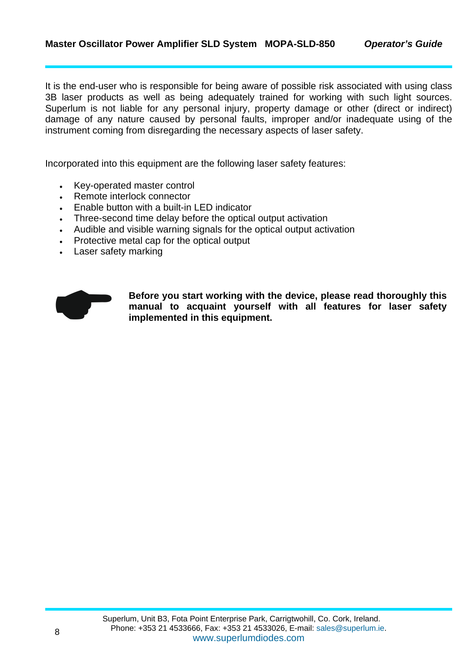It is the end-user who is responsible for being aware of possible risk associated with using class 3B laser products as well as being adequately trained for working with such light sources. Superlum is not liable for any personal injury, property damage or other (direct or indirect) damage of any nature caused by personal faults, improper and/or inadequate using of the instrument coming from disregarding the necessary aspects of laser safety.

Incorporated into this equipment are the following laser safety features:

- Key-operated master control
- Remote interlock connector
- Enable button with a built-in LED indicator
- Three-second time delay before the optical output activation
- Audible and visible warning signals for the optical output activation
- Protective metal cap for the optical output
- Laser safety marking



Before you start working with the device, please read thoroughly this manual to acquaint yourself with all features for laser safety implemented in this equipment. **manual to acquaint yourself with all features for laser safety implemented in this equipment.**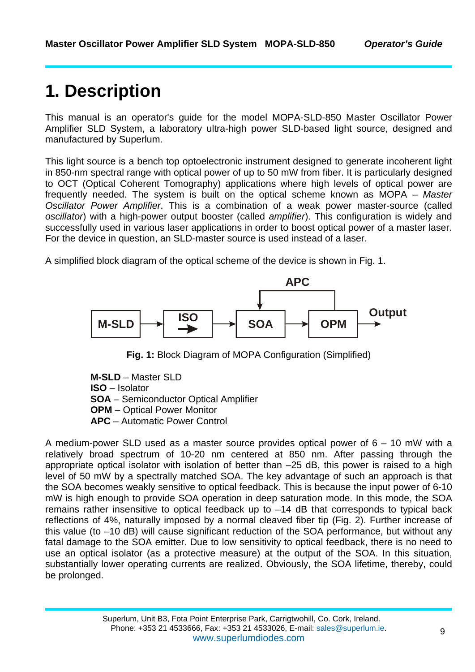# **1. Description**

This manual is an operator's guide for the model MOPA-SLD-850 Master Oscillator Power Amplifier SLD System, a laboratory ultra-high power SLD-based light source, designed and manufactured by Superlum.

This light source is a bench top optoelectronic instrument designed to generate incoherent light in 850-nm spectral range with optical power of up to 50 mW from fiber. It is particularly designed to OCT (Optical Coherent Tomography) applications where high levels of optical power are frequently needed. The system is built on the optical scheme known as MOPA – *Master Oscillator Power Amplifier*. This is a combination of a weak power master-source (called *oscillator*) with a high-power output booster (called *amplifier*). This configuration is widely and successfully used in various laser applications in order to boost optical power of a master laser. For the device in question, an SLD-master source is used instead of a laser.

A simplified block diagram of the optical scheme of the device is shown in Fig. 1.



**Fig. 1:** Block Diagram of MOPA Configuration (Simplified)

**M-SLD** – Master SLD **ISO** – Isolator **SOA** – Semiconductor Optical Amplifier **OPM** – Optical Power Monitor **APC** – Automatic Power Control

A medium-power SLD used as a master source provides optical power of 6 – 10 mW with a relatively broad spectrum of 10-20 nm centered at 850 nm. After passing through the appropriate optical isolator with isolation of better than –25 dB, this power is raised to a high level of 50 mW by a spectrally matched SOA. The key advantage of such an approach is that the SOA becomes weakly sensitive to optical feedback. This is because the input power of 6-10 mW is high enough to provide SOA operation in deep saturation mode. In this mode, the SOA remains rather insensitive to optical feedback up to –14 dB that corresponds to typical back reflections of 4%, naturally imposed by a normal cleaved fiber tip (Fig. 2). Further increase of this value (to –10 dB) will cause significant reduction of the SOA performance, but without any fatal damage to the SOA emitter. Due to low sensitivity to optical feedback, there is no need to use an optical isolator (as a protective measure) at the output of the SOA. In this situation, substantially lower operating currents are realized. Obviously, the SOA lifetime, thereby, could be prolonged.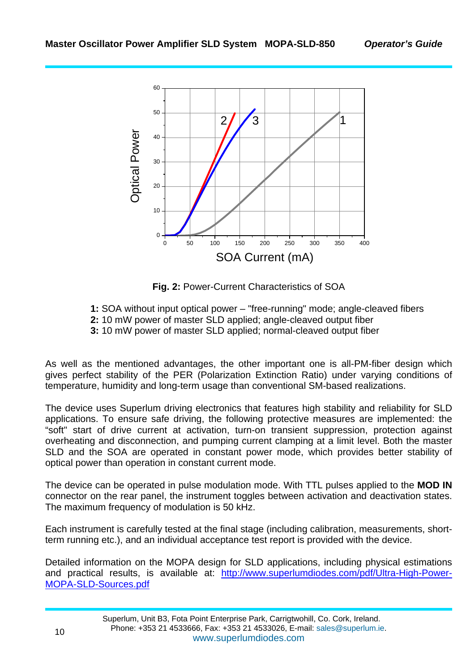

**Fig. 2:** Power-Current Characteristics of SOA

- **1:** SOA without input optical power "free-running" mode; angle-cleaved fibers
- **2:** 10 mW power of master SLD applied; angle-cleaved output fiber
- **3:** 10 mW power of master SLD applied; normal-cleaved output fiber

As well as the mentioned advantages, the other important one is all-PM-fiber design which gives perfect stability of the PER (Polarization Extinction Ratio) under varying conditions of temperature, humidity and long-term usage than conventional SM-based realizations.

The device uses Superlum driving electronics that features high stability and reliability for SLD applications. To ensure safe driving, the following protective measures are implemented: the "soft" start of drive current at activation, turn-on transient suppression, protection against overheating and disconnection, and pumping current clamping at a limit level. Both the master SLD and the SOA are operated in constant power mode, which provides better stability of optical power than operation in constant current mode.

The device can be operated in pulse modulation mode. With TTL pulses applied to the **MOD IN** connector on the rear panel, the instrument toggles between activation and deactivation states. The maximum frequency of modulation is 50 kHz.

Each instrument is carefully tested at the final stage (including calibration, measurements, shortterm running etc.), and an individual acceptance test report is provided with the device.

Detailed information on the MOPA design for SLD applications, including physical estimations and practical results, is available at: http://www.superlumdiodes.com/pdf/Ultra-High-Power-MOPA-SLD-Sources.pdf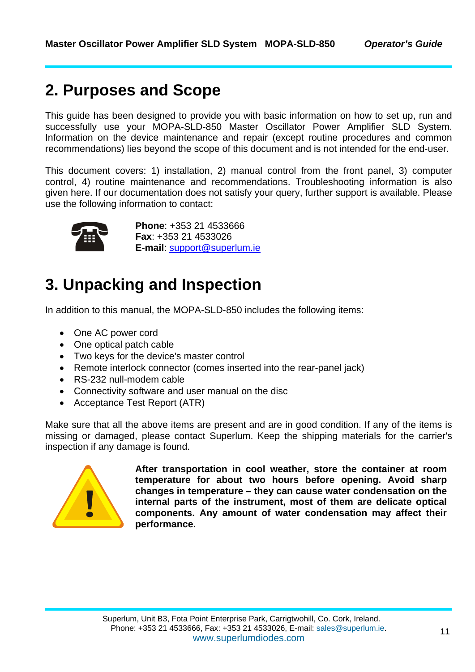### **2. Purposes and Scope**

This guide has been designed to provide you with basic information on how to set up, run and successfully use your MOPA-SLD-850 Master Oscillator Power Amplifier SLD System. Information on the device maintenance and repair (except routine procedures and common recommendations) lies beyond the scope of this document and is not intended for the end-user.

This document covers: 1) installation, 2) manual control from the front panel, 3) computer control, 4) routine maintenance and recommendations. Troubleshooting information is also given here. If our documentation does not satisfy your query, further support is available. Please use the following information to contact:



**Phone**: +353 21 4533666<br> **Fax**: +353 21 4533026<br> **E-mail**: <u>support@superlum.ie</u> **Fax**: +353 21 4533026

# **3. Unpacking and Inspection**

In addition to this manual, the MOPA-SLD-850 includes the following items:

- One AC power cord
- One optical patch cable
- Two keys for the device's master control
- Remote interlock connector (comes inserted into the rear-panel jack)
- RS-232 null-modem cable
- Connectivity software and user manual on the disc
- Acceptance Test Report (ATR)

Make sure that all the above items are present and are in good condition. If any of the items is missing or damaged, please contact Superlum. Keep the shipping materials for the carrier's inspection if any damage is found.



**After transportation in cool weather, store the container at room temperature for about two hours before opening. Avoid sharp changes in temperature – they can cause water condensation on the internal parts of the instrument, most of them are delicate optical components. Any amount of water condensation may affect their performance.**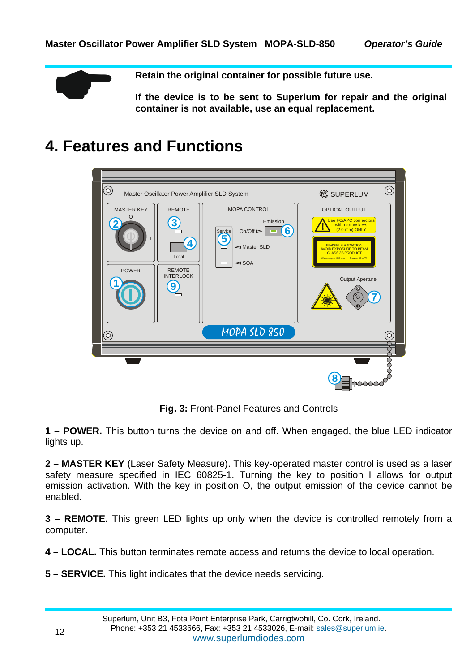**Retain the original container for possible future use.**<br>If the device is to be sent to Superlum for repair a container is not available, use an equal replacement. **If the device is to be sent to Superlum for repair and the original container is not available, use an equal replacement.** 

### **4. Features and Functions**

| $\circledcirc$<br><b>MASTER KEY</b><br>$\circ$<br><b>POWER</b> | <b>REMOTE</b><br>4,<br>Local<br><b>REMOTE</b><br><b>INTERLOCK</b><br>$\boldsymbol{9}$ | Master Oscillator Power Amplifier SLD System<br><b>MOPA CONTROL</b><br>Emission<br>$\mathbf{6}$<br>$On/Off \rightarrow$<br>Service<br>$\triangleleft$ Master SLD<br>$\triangleleft$ SOA<br>ᆷ | $\circledcirc$<br><b>B</b> SUPERLUM<br>OPTICAL OUTPUT<br>Use FC/APC connectors<br>with narrow keys<br>(2.0 mm) ONLY<br><b>INVISIBLE RADIATION</b><br><b>AVOID EXPOSURE TO BEAM</b><br><b>CLASS 3B PRODUCT</b><br>Wavelength: 850 nm   Power: 50 mW<br><b>Output Aperture</b><br>O |
|----------------------------------------------------------------|---------------------------------------------------------------------------------------|----------------------------------------------------------------------------------------------------------------------------------------------------------------------------------------------|-----------------------------------------------------------------------------------------------------------------------------------------------------------------------------------------------------------------------------------------------------------------------------------|
| $\widehat{\circ}$                                              |                                                                                       | MOPA SLD 850                                                                                                                                                                                 |                                                                                                                                                                                                                                                                                   |
|                                                                |                                                                                       |                                                                                                                                                                                              |                                                                                                                                                                                                                                                                                   |
|                                                                |                                                                                       |                                                                                                                                                                                              | ਿ⊙੦                                                                                                                                                                                                                                                                               |

**Fig. 3:** Front-Panel Features and Controls

**1 – POWER.** This button turns the device on and off. When engaged, the blue LED indicator lights up.

**2 – MASTER KEY** (Laser Safety Measure). This key-operated master control is used as a laser safety measure specified in IEC 60825-1. Turning the key to position I allows for output emission activation. With the key in position O, the output emission of the device cannot be enabled.

**3 – REMOTE.** This green LED lights up only when the device is controlled remotely from a computer.

**4 – LOCAL.** This button terminates remote access and returns the device to local operation.

**5 – SERVICE.** This light indicates that the device needs servicing.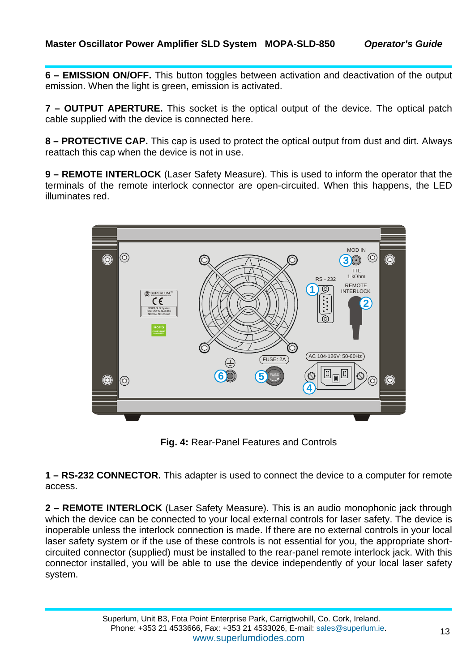**6 – EMISSION ON/OFF.** This button toggles between activation and deactivation of the output emission. When the light is green, emission is activated.

**7 – OUTPUT APERTURE.** This socket is the optical output of the device. The optical patch cable supplied with the device is connected here.

**8 – PROTECTIVE CAP.** This cap is used to protect the optical output from dust and dirt. Always reattach this cap when the device is not in use.

**9 – REMOTE INTERLOCK** (Laser Safety Measure). This is used to inform the operator that the terminals of the remote interlock connector are open-circuited. When this happens, the LED illuminates red.



**Fig. 4:** Rear-Panel Features and Controls

**1 – RS-232 CONNECTOR.** This adapter is used to connect the device to a computer for remote access.

**2 – REMOTE INTERLOCK** (Laser Safety Measure). This is an audio monophonic jack through which the device can be connected to your local external controls for laser safety. The device is inoperable unless the interlock connection is made. If there are no external controls in your local laser safety system or if the use of these controls is not essential for you, the appropriate shortcircuited connector (supplied) must be installed to the rear-panel remote interlock jack. With this connector installed, you will be able to use the device independently of your local laser safety system.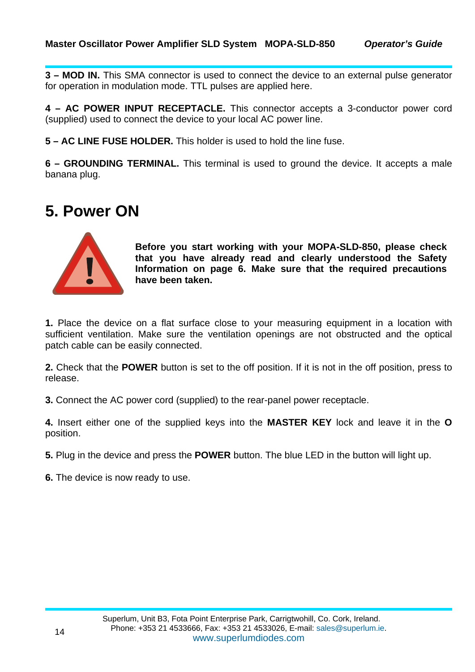**3 – MOD IN.** This SMA connector is used to connect the device to an external pulse generator for operation in modulation mode. TTL pulses are applied here.

**4 – AC POWER INPUT RECEPTACLE.** This connector accepts a 3-conductor power cord (supplied) used to connect the device to your local AC power line.

**5 – AC LINE FUSE HOLDER.** This holder is used to hold the line fuse.

**6 – GROUNDING TERMINAL.** This terminal is used to ground the device. It accepts a male banana plug.

### **5. Power ON**



**Before you start working with your MOPA-SLD-850, please check that you have already read and clearly understood the Safety Information on page 6. Make sure that the required precautions have been taken.** 

**1.** Place the device on a flat surface close to your measuring equipment in a location with sufficient ventilation. Make sure the ventilation openings are not obstructed and the optical patch cable can be easily connected.

**2.** Check that the **POWER** button is set to the off position. If it is not in the off position, press to release.

**3.** Connect the AC power cord (supplied) to the rear-panel power receptacle.

**4.** Insert either one of the supplied keys into the **MASTER KEY** lock and leave it in the **O** position.

**5.** Plug in the device and press the **POWER** button. The blue LED in the button will light up.

**6.** The device is now ready to use.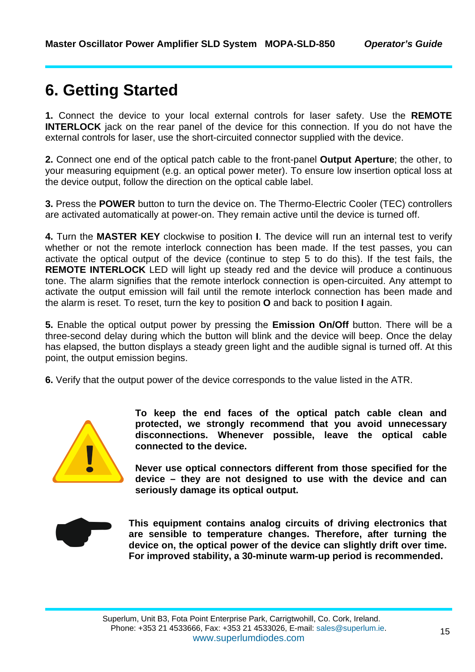### **6. Getting Started**

**1.** Connect the device to your local external controls for laser safety. Use the **REMOTE INTERLOCK** jack on the rear panel of the device for this connection. If you do not have the external controls for laser, use the short-circuited connector supplied with the device.

**2.** Connect one end of the optical patch cable to the front-panel **Output Aperture**; the other, to your measuring equipment (e.g. an optical power meter). To ensure low insertion optical loss at the device output, follow the direction on the optical cable label.

**3.** Press the **POWER** button to turn the device on. The Thermo-Electric Cooler (TEC) controllers are activated automatically at power-on. They remain active until the device is turned off.

**4.** Turn the **MASTER KEY** clockwise to position **I**. The device will run an internal test to verify whether or not the remote interlock connection has been made. If the test passes, you can activate the optical output of the device (continue to step 5 to do this). If the test fails, the **REMOTE INTERLOCK** LED will light up steady red and the device will produce a continuous tone. The alarm signifies that the remote interlock connection is open-circuited. Any attempt to activate the output emission will fail until the remote interlock connection has been made and the alarm is reset. To reset, turn the key to position **O** and back to position **I** again.

**5.** Enable the optical output power by pressing the **Emission On/Off** button. There will be a three-second delay during which the button will blink and the device will beep. Once the delay has elapsed, the button displays a steady green light and the audible signal is turned off. At this point, the output emission begins.

**6.** Verify that the output power of the device corresponds to the value listed in the ATR.



**To keep the end faces of the optical patch cable clean and protected, we strongly recommend that you avoid unnecessary disconnections. Whenever possible, leave the optical cable connected to the device.** 

**Never use optical connectors different from those specified for the device – they are not designed to use with the device and can seriously damage its optical output.** 



This equipment contains analog circuits of driving electronics that are sensible to temperature changes. Therefore, after turning the device on, the optical power of the device can slightly drift over time. For improved st **are sensible to temperature changes. Therefore, after turning the device on, the optical power of the device can slightly drift over time. For improved stability, a 30-minute warm-up period is recommended.**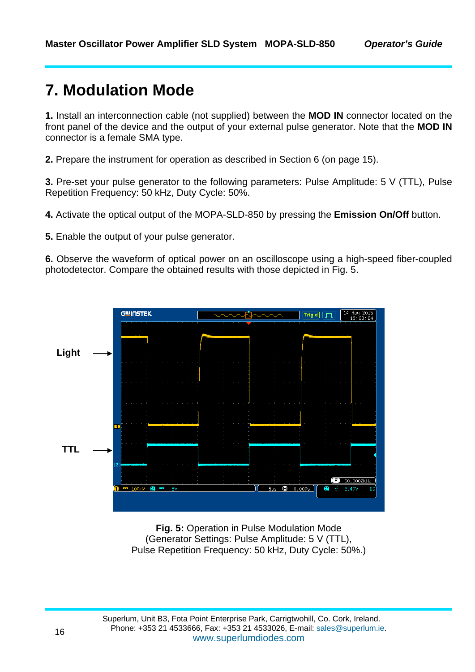### **7. Modulation Mode**

**1.** Install an interconnection cable (not supplied) between the **MOD IN** connector located on the front panel of the device and the output of your external pulse generator. Note that the **MOD IN** connector is a female SMA type.

**2.** Prepare the instrument for operation as described in Section 6 (on page 15).

**3.** Pre-set your pulse generator to the following parameters: Pulse Amplitude: 5 V (TTL), Pulse Repetition Frequency: 50 kHz, Duty Cycle: 50%.

**4.** Activate the optical output of the MOPA-SLD-850 by pressing the **Emission On/Off** button.

**5.** Enable the output of your pulse generator.

**6.** Observe the waveform of optical power on an oscilloscope using a high-speed fiber-coupled photodetector. Compare the obtained results with those depicted in Fig. 5.



**Fig. 5:** Operation in Pulse Modulation Mode (Generator Settings: Pulse Amplitude: 5 V (TTL), Pulse Repetition Frequency: 50 kHz, Duty Cycle: 50%.)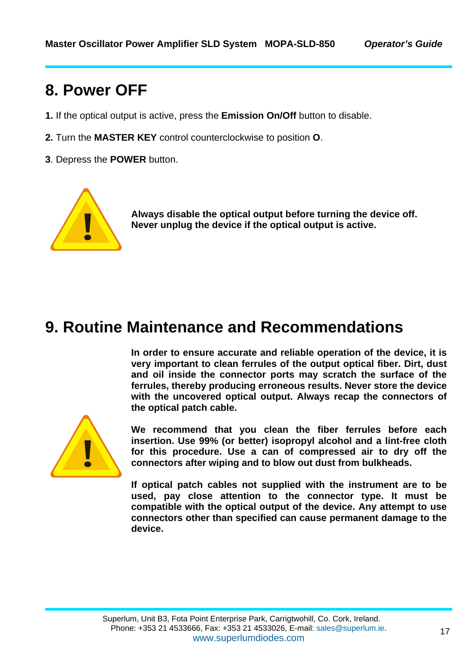### **8. Power OFF**

- **1.** If the optical output is active, press the **Emission On/Off** button to disable.
- **2.** Turn the **MASTER KEY** control counterclockwise to position **O**.
- **3**. Depress the **POWER** button.



! **Always disable the optical output before turning the device off. Never unplug the device if the optical output is active.** 

### **9. Routine Maintenance and Recommendations**

**In order to ensure accurate and reliable operation of the device, it is very important to clean ferrules of the output optical fiber. Dirt, dust and oil inside the connector ports may scratch the surface of the ferrules, thereby producing erroneous results. Never store the device with the uncovered optical output. Always recap the connectors of the optical patch cable.** 



**We recommend that you clean the fiber ferrules before each insertion. Use 99% (or better) isopropyl alcohol and a lint-free cloth for this procedure. Use a can of compressed air to dry off the connectors after wiping and to blow out dust from bulkheads.** 

**If optical patch cables not supplied with the instrument are to be used, pay close attention to the connector type. It must be compatible with the optical output of the device. Any attempt to use connectors other than specified can cause permanent damage to the device.**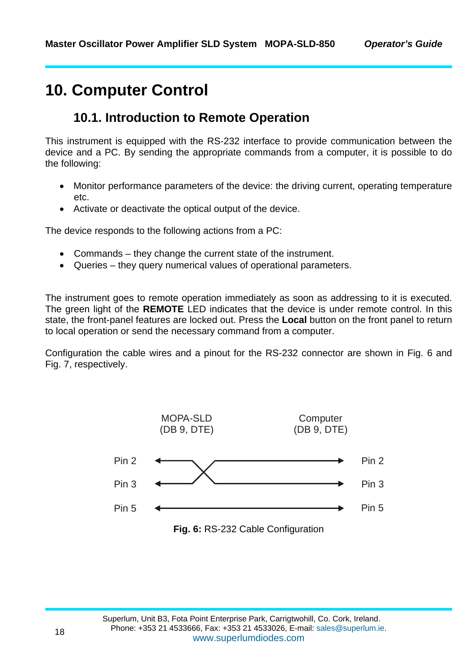### **10. Computer Control**

#### **10.1. Introduction to Remote Operation**

This instrument is equipped with the RS-232 interface to provide communication between the device and a PC. By sending the appropriate commands from a computer, it is possible to do the following:

- Monitor performance parameters of the device: the driving current, operating temperature etc.
- Activate or deactivate the optical output of the device.

The device responds to the following actions from a PC:

- Commands they change the current state of the instrument.
- Queries they query numerical values of operational parameters.

The instrument goes to remote operation immediately as soon as addressing to it is executed. The green light of the **REMOTE** LED indicates that the device is under remote control. In this state, the front-panel features are locked out. Press the **Local** button on the front panel to return to local operation or send the necessary command from a computer.

Configuration the cable wires and a pinout for the RS-232 connector are shown in Fig. 6 and Fig. 7, respectively.

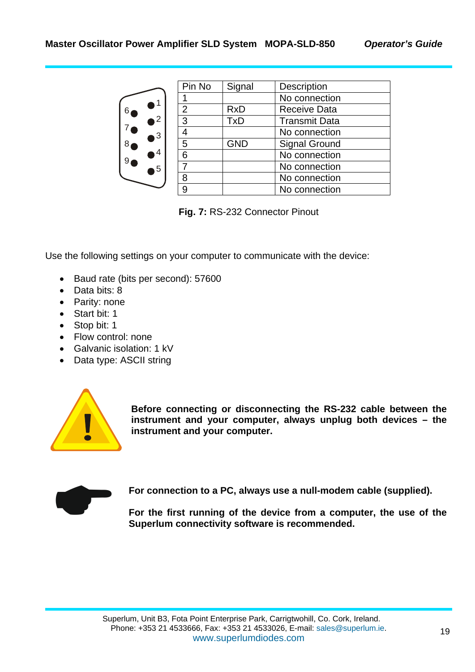



| Pin No         | Signal     | Description          |
|----------------|------------|----------------------|
|                |            | No connection        |
| $\overline{2}$ | <b>RxD</b> | <b>Receive Data</b>  |
| 3              | <b>TxD</b> | <b>Transmit Data</b> |
| 4              |            | No connection        |
| 5              | <b>GND</b> | <b>Signal Ground</b> |
| 6              |            | No connection        |
|                |            | No connection        |
| 8              |            | No connection        |
|                |            | No connection        |

**Fig. 7:** RS-232 Connector Pinout

Use the following settings on your computer to communicate with the device:

- Baud rate (bits per second): 57600
- Data bits: 8
- Parity: none
- Start bit: 1
- Stop bit: 1
- Flow control: none
- Galvanic isolation: 1 kV
- Data type: ASCII string



**Before connecting or disconnecting the RS-232 cable between the instrument and your computer, always unplug both devices – the instrument and your computer. instrument and your computer, always unplug both devices – the instrument and your computer.** 



**For connection to a PC, always use a null-modem cable (supplied).**<br>For the first running of the device from a computer, the use of t<br>Superlum connectivity software is recommended. **For the first running of the device from a computer, the use of the Superlum connectivity software is recommended.**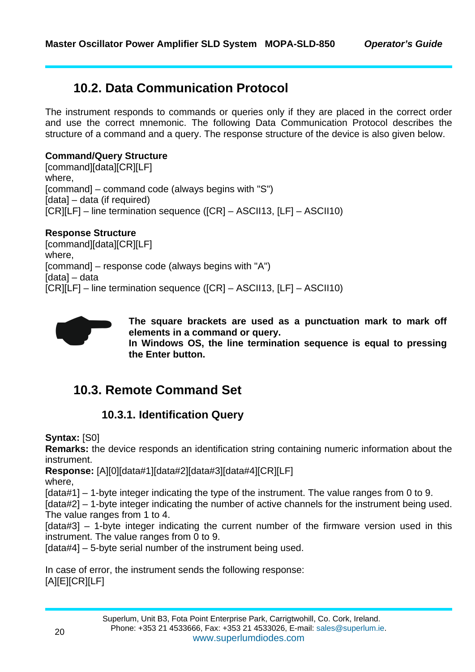### **10.2. Data Communication Protocol**

The instrument responds to commands or queries only if they are placed in the correct order and use the correct mnemonic. The following Data Communication Protocol describes the structure of a command and a query. The response structure of the device is also given below.

#### **Command/Query Structure**

[command][data][CR][LF] where, [command] – command code (always begins with "S") [data] – data (if required) [CR][LF] – line termination sequence ([CR] – ASCII13, [LF] – ASCII10)

#### **Response Structure**

[command][data][CR][LF] where, [command] – response code (always begins with "A") [data] – data [CR][LF] – line termination sequence ([CR] – ASCII13, [LF] – ASCII10)



**The square brackets are used as a punctuation mark to mark off elements in a command or query. In Windows OS, the line termination sequence is equal to pressing the Enter button.** 

### **10.3. Remote Command Set**

#### **10.3.1. Identification Query**

**Syntax:** [S0]

**Remarks:** the device responds an identification string containing numeric information about the instrument.

**Response:** [A][0][data#1][data#2][data#3][data#4][CR][LF]

where,

[data#1] – 1-byte integer indicating the type of the instrument. The value ranges from 0 to 9.

[data#2] – 1-byte integer indicating the number of active channels for the instrument being used. The value ranges from 1 to 4.

[data#3] – 1-byte integer indicating the current number of the firmware version used in this instrument. The value ranges from 0 to 9.

[data#4] – 5-byte serial number of the instrument being used.

In case of error, the instrument sends the following response: [A][E][CR][LF]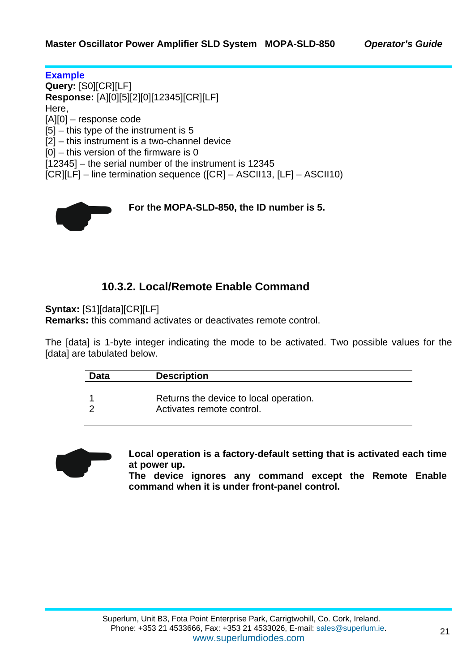**Example Query:** [S0][CR][LF] **Response:** [A][0][5][2][0][12345][CR][LF] Here, [A][0] – response code [5] – this type of the instrument is 5 [2] – this instrument is a two-channel device [0] – this version of the firmware is 0 [12345] – the serial number of the instrument is 12345 [CR][LF] – line termination sequence ([CR] – ASCII13, [LF] – ASCII10)



#### **10.3.2. Local/Remote Enable Command**

**Syntax:** [S1][data][CR][LF]

**Remarks:** this command activates or deactivates remote control.

The [data] is 1-byte integer indicating the mode to be activated. Two possible values for the [data] are tabulated below.

| <b>Data</b> | <b>Description</b>                                                  |
|-------------|---------------------------------------------------------------------|
|             | Returns the device to local operation.<br>Activates remote control. |
|             |                                                                     |



**Local operation is a factory-default setting that is activated each time at power up.** 

**The device ignores any command except the Remote Enable command when it is under front-panel control.**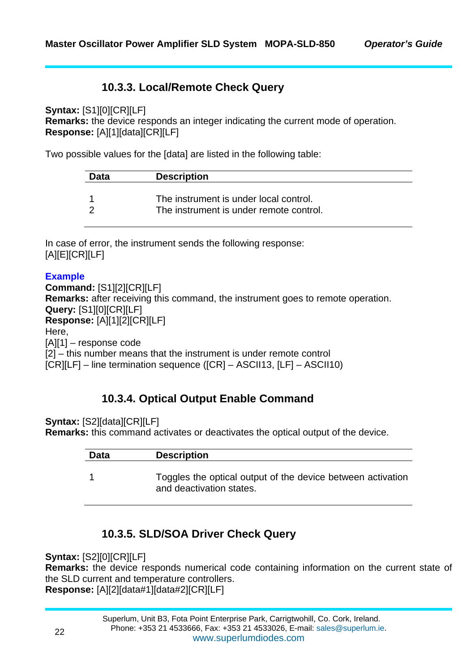#### **10.3.3. Local/Remote Check Query**

**Syntax:** [S1][0][CR][LF] **Remarks:** the device responds an integer indicating the current mode of operation. **Response:** [A][1][data][CR][LF]

Two possible values for the [data] are listed in the following table:

| Data | <b>Description</b>                                                                |
|------|-----------------------------------------------------------------------------------|
|      | The instrument is under local control.<br>The instrument is under remote control. |

In case of error, the instrument sends the following response: [A][E][CR][LF]

#### **Example**

**Command:** [S1][2][CR][LF] **Remarks:** after receiving this command, the instrument goes to remote operation. **Query:** [S1][0][CR][LF] **Response:** [A][1][2][CR][LF] Here, [A][1] – response code [2] – this number means that the instrument is under remote control [CR][LF] – line termination sequence ([CR] – ASCII13, [LF] – ASCII10)

#### **10.3.4. Optical Output Enable Command**

**Syntax:** [S2][data][CR][LF]

**Remarks:** this command activates or deactivates the optical output of the device.

| Data | <b>Description</b>                                                                      |
|------|-----------------------------------------------------------------------------------------|
|      | Toggles the optical output of the device between activation<br>and deactivation states. |

#### **10.3.5. SLD/SOA Driver Check Query**

**Syntax:** [S2][0][CR][LF]

**Remarks:** the device responds numerical code containing information on the current state of the SLD current and temperature controllers. **Response:** [A][2][data#1][data#2][CR][LF]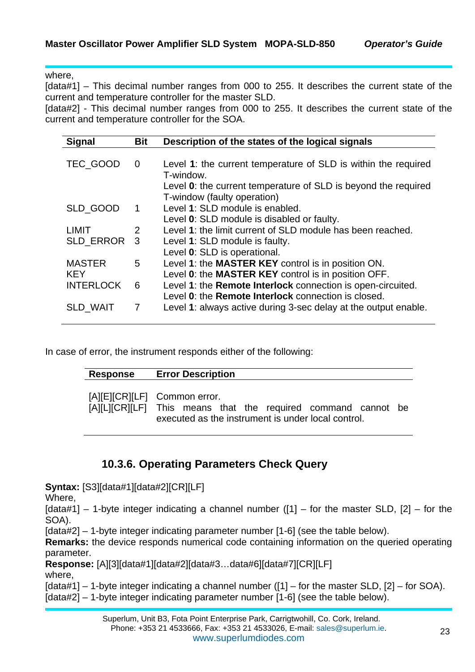where,

[data#1] – This decimal number ranges from 000 to 255. It describes the current state of the current and temperature controller for the master SLD.

[data#2] - This decimal number ranges from 000 to 255. It describes the current state of the current and temperature controller for the SOA.

| <b>Signal</b>    | <b>Bit</b> | Description of the states of the logical signals                                                                   |
|------------------|------------|--------------------------------------------------------------------------------------------------------------------|
|                  |            |                                                                                                                    |
| TEC_GOOD         | 0          | Level 1: the current temperature of SLD is within the required<br>T-window.                                        |
|                  |            | Level 0: the current temperature of SLD is beyond the required<br>T-window (faulty operation)                      |
| SLD_GOOD         | 1          | Level 1: SLD module is enabled.                                                                                    |
|                  |            | Level 0: SLD module is disabled or faulty.                                                                         |
| <b>LIMIT</b>     | 2          | Level 1: the limit current of SLD module has been reached.                                                         |
| SLD ERROR 3      |            | Level 1: SLD module is faulty.                                                                                     |
|                  |            | Level 0: SLD is operational.                                                                                       |
| <b>MASTER</b>    | 5          | Level 1: the MASTER KEY control is in position ON.                                                                 |
| <b>KEY</b>       |            | Level 0: the MASTER KEY control is in position OFF.                                                                |
| <b>INTERLOCK</b> | 6          | Level 1: the Remote Interlock connection is open-circuited.<br>Level 0: the Remote Interlock connection is closed. |
| <b>SLD WAIT</b>  | 7          | Level 1: always active during 3-sec delay at the output enable.                                                    |

In case of error, the instrument responds either of the following:

| <b>Response</b> | <b>Error Description</b>                                                                                                                            |
|-----------------|-----------------------------------------------------------------------------------------------------------------------------------------------------|
|                 | [A][E][CR][LF] Common error.<br>[A][L][CR][LF] This means that the required command cannot be<br>executed as the instrument is under local control. |

#### **10.3.6. Operating Parameters Check Query**

**Syntax:** [S3][data#1][data#2][CR][LF]

Where,

 $[data#1]$  – 1-byte integer indicating a channel number  $([1]$  – for the master SLD,  $[2]$  – for the SOA).

[data#2] – 1-byte integer indicating parameter number [1-6] (see the table below).

**Remarks:** the device responds numerical code containing information on the queried operating parameter.

**Response:** [A][3][data#1][data#2][data#3…data#6][data#7][CR][LF]

where,

[data#1] – 1-byte integer indicating a channel number ([1] – for the master SLD, [2] – for SOA).

[data#2] – 1-byte integer indicating parameter number [1-6] (see the table below).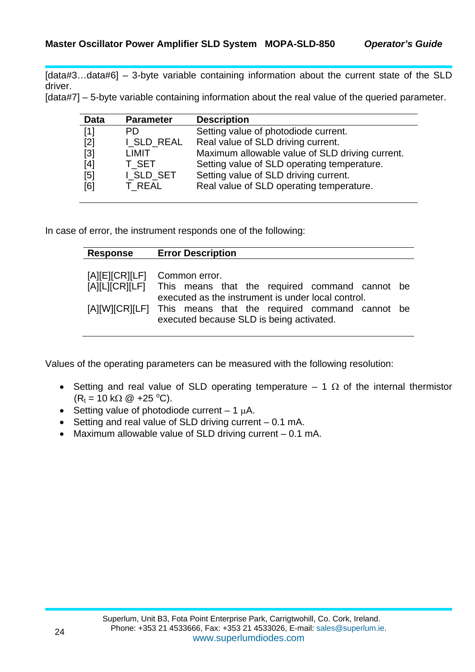[data#3...data#6] – 3-byte variable containing information about the current state of the SLD driver.

[data#7] – 5-byte variable containing information about the real value of the queried parameter.

| <b>Data</b> | <b>Parameter</b> | <b>Description</b>                              |
|-------------|------------------|-------------------------------------------------|
| [1]         | PD.              | Setting value of photodiode current.            |
| [2]         | I SLD REAL       | Real value of SLD driving current.              |
| $[3]$       | LIMIT            | Maximum allowable value of SLD driving current. |
| [4]         | T SET            | Setting value of SLD operating temperature.     |
| [5]         | I_SLD_SET        | Setting value of SLD driving current.           |
| [6]         | T_REAL           | Real value of SLD operating temperature.        |

In case of error, the instrument responds one of the following:

| Response | <b>Error Description</b>                                                                                            |
|----------|---------------------------------------------------------------------------------------------------------------------|
|          | [A][E][CR][LF] Common error.                                                                                        |
|          | [A][L][CR][LF] This means that the required command cannot be<br>executed as the instrument is under local control. |
|          | [A][W][CR][LF] This means that the required command cannot be<br>executed because SLD is being activated.           |

Values of the operating parameters can be measured with the following resolution:

- Setting and real value of SLD operating temperature  $-1$   $\Omega$  of the internal thermistor  $(R_t = 10 \text{ k}\Omega \text{ } @ +25 \text{ }^{\circ}\text{C}).$
- Setting value of photodiode current  $-1 \mu A$ .
- Setting and real value of SLD driving current 0.1 mA.
- Maximum allowable value of SLD driving current 0.1 mA.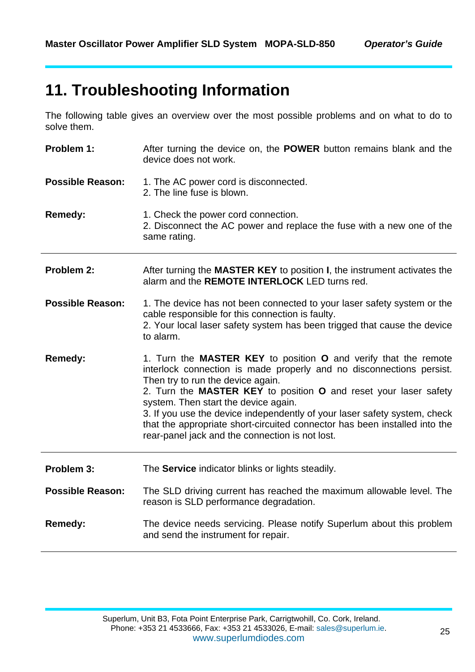### **11. Troubleshooting Information**

The following table gives an overview over the most possible problems and on what to do to solve them.

| Problem 1:              | After turning the device on, the <b>POWER</b> button remains blank and the<br>device does not work.                                                                                                                                                                                                                                                                                                                                                                                                    |
|-------------------------|--------------------------------------------------------------------------------------------------------------------------------------------------------------------------------------------------------------------------------------------------------------------------------------------------------------------------------------------------------------------------------------------------------------------------------------------------------------------------------------------------------|
| <b>Possible Reason:</b> | 1. The AC power cord is disconnected.<br>2. The line fuse is blown.                                                                                                                                                                                                                                                                                                                                                                                                                                    |
| Remedy:                 | 1. Check the power cord connection.<br>2. Disconnect the AC power and replace the fuse with a new one of the<br>same rating.                                                                                                                                                                                                                                                                                                                                                                           |
| Problem 2:              | After turning the <b>MASTER KEY</b> to position <b>I</b> , the instrument activates the<br>alarm and the REMOTE INTERLOCK LED turns red.                                                                                                                                                                                                                                                                                                                                                               |
| <b>Possible Reason:</b> | 1. The device has not been connected to your laser safety system or the<br>cable responsible for this connection is faulty.<br>2. Your local laser safety system has been trigged that cause the device<br>to alarm.                                                                                                                                                                                                                                                                                   |
| <b>Remedy:</b>          | 1. Turn the MASTER KEY to position O and verify that the remote<br>interlock connection is made properly and no disconnections persist.<br>Then try to run the device again.<br>2. Turn the MASTER KEY to position O and reset your laser safety<br>system. Then start the device again.<br>3. If you use the device independently of your laser safety system, check<br>that the appropriate short-circuited connector has been installed into the<br>rear-panel jack and the connection is not lost. |
| Problem 3:              | The Service indicator blinks or lights steadily.                                                                                                                                                                                                                                                                                                                                                                                                                                                       |
| <b>Possible Reason:</b> | The SLD driving current has reached the maximum allowable level. The<br>reason is SLD performance degradation.                                                                                                                                                                                                                                                                                                                                                                                         |
| <b>Remedy:</b>          | The device needs servicing. Please notify Superlum about this problem<br>and send the instrument for repair.                                                                                                                                                                                                                                                                                                                                                                                           |
|                         |                                                                                                                                                                                                                                                                                                                                                                                                                                                                                                        |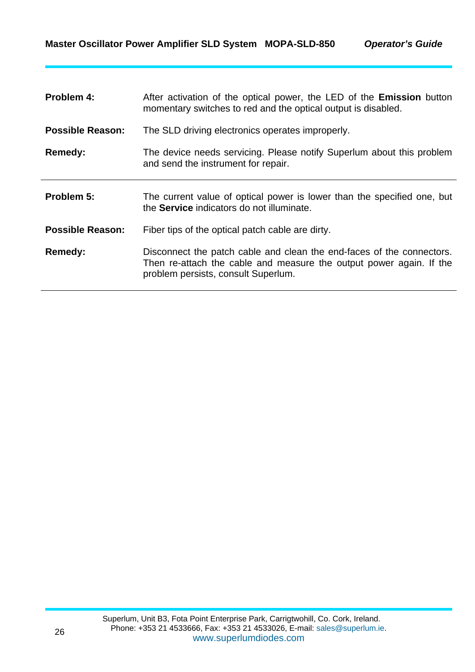| Problem 4:              | After activation of the optical power, the LED of the <b>Emission</b> button<br>momentary switches to red and the optical output is disabled.                                       |
|-------------------------|-------------------------------------------------------------------------------------------------------------------------------------------------------------------------------------|
| <b>Possible Reason:</b> | The SLD driving electronics operates improperly.                                                                                                                                    |
| Remedy:                 | The device needs servicing. Please notify Superlum about this problem<br>and send the instrument for repair.                                                                        |
| Problem 5:              | The current value of optical power is lower than the specified one, but<br>the <b>Service</b> indicators do not illuminate.                                                         |
| <b>Possible Reason:</b> | Fiber tips of the optical patch cable are dirty.                                                                                                                                    |
| Remedy:                 | Disconnect the patch cable and clean the end-faces of the connectors.<br>Then re-attach the cable and measure the output power again. If the<br>problem persists, consult Superlum. |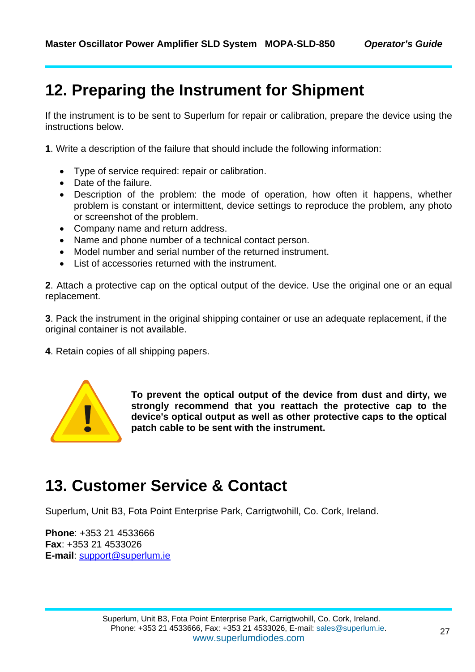### **12. Preparing the Instrument for Shipment**

If the instrument is to be sent to Superlum for repair or calibration, prepare the device using the instructions below.

**1**. Write a description of the failure that should include the following information:

- Type of service required: repair or calibration.
- Date of the failure.
- Description of the problem: the mode of operation, how often it happens, whether problem is constant or intermittent, device settings to reproduce the problem, any photo or screenshot of the problem.
- Company name and return address.
- Name and phone number of a technical contact person.
- Model number and serial number of the returned instrument.
- List of accessories returned with the instrument.

**2**. Attach a protective cap on the optical output of the device. Use the original one or an equal replacement.

**3**. Pack the instrument in the original shipping container or use an adequate replacement, if the original container is not available.

**4**. Retain copies of all shipping papers.



**To prevent the optical output of the device from dust and dirty, we strongly recommend that you reattach the protective cap to the device's optical output as well as other protective caps to the optical patch cable to be sent with the instrument.** 

### **13. Customer Service & Contact**

Superlum, Unit B3, Fota Point Enterprise Park, Carrigtwohill, Co. Cork, Ireland.

**Phone**: +353 21 4533666 **Fax**: +353 21 4533026 **E-mail**: support@superlum.ie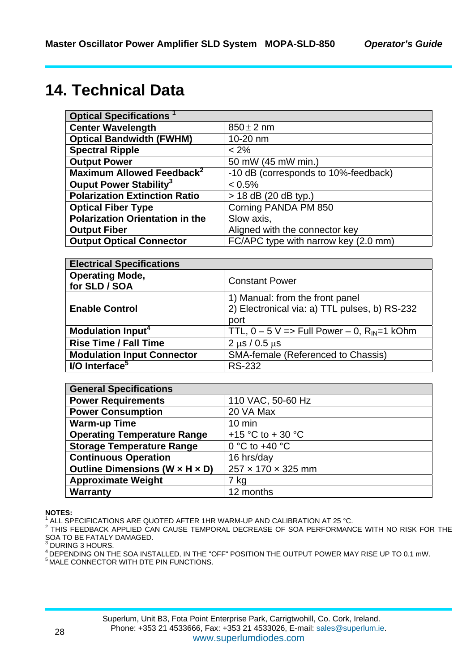### **14. Technical Data**

| <b>Optical Specifications</b>          |                                      |  |
|----------------------------------------|--------------------------------------|--|
| <b>Center Wavelength</b>               | $850 \pm 2$ nm                       |  |
| <b>Optical Bandwidth (FWHM)</b>        | 10-20 nm                             |  |
| <b>Spectral Ripple</b>                 | $< 2\%$                              |  |
| <b>Output Power</b>                    | 50 mW (45 mW min.)                   |  |
| Maximum Allowed Feedback <sup>2</sup>  | -10 dB (corresponds to 10%-feedback) |  |
| Ouput Power Stability <sup>3</sup>     | $< 0.5\%$                            |  |
| <b>Polarization Extinction Ratio</b>   | > 18 dB (20 dB typ.)                 |  |
| <b>Optical Fiber Type</b>              | Corning PANDA PM 850                 |  |
| <b>Polarization Orientation in the</b> | Slow axis,                           |  |
| <b>Output Fiber</b>                    | Aligned with the connector key       |  |
| <b>Output Optical Connector</b>        | FC/APC type with narrow key (2.0 mm) |  |

| <b>Electrical Specifications</b>        |                                                                                          |  |
|-----------------------------------------|------------------------------------------------------------------------------------------|--|
| <b>Operating Mode,</b><br>for SLD / SOA | <b>Constant Power</b>                                                                    |  |
| <b>Enable Control</b>                   | 1) Manual: from the front panel<br>2) Electronical via: a) TTL pulses, b) RS-232<br>port |  |
| <b>Modulation Input<sup>4</sup></b>     | TTL, $0 - 5$ V => Full Power $- 0$ , R <sub>IN</sub> =1 kOhm                             |  |
| <b>Rise Time / Fall Time</b>            | $2 \mu s / 0.5 \mu s$                                                                    |  |
| <b>Modulation Input Connector</b>       | SMA-female (Referenced to Chassis)                                                       |  |
| I/O Interface <sup>5</sup>              | <b>RS-232</b>                                                                            |  |

| <b>General Specifications</b>      |                         |  |  |
|------------------------------------|-------------------------|--|--|
| <b>Power Requirements</b>          | 110 VAC, 50-60 Hz       |  |  |
| <b>Power Consumption</b>           | 20 VA Max               |  |  |
| <b>Warm-up Time</b>                | $10 \text{ min}$        |  |  |
| <b>Operating Temperature Range</b> | +15 °C to + 30 °C       |  |  |
| <b>Storage Temperature Range</b>   | 0 °C to +40 $\degree$ C |  |  |
| <b>Continuous Operation</b>        | 16 hrs/day              |  |  |
| Outline Dimensions (W x H x D)     | 257 x 170 x 325 mm      |  |  |
| <b>Approximate Weight</b>          | 7 kg                    |  |  |
| <b>Warranty</b>                    | 12 months               |  |  |

#### **NOTES:**

1 ALL SPECIFICATIONS ARE QUOTED AFTER 1HR WARM-UP AND CALIBRATION AT 25 °C.

THIS FEEDBACK APPLIED CAN CAUSE TEMPORAL DECREASE OF SOA PERFORMANCE WITH NO RISK FOR THE SOA TO BE FATALY DAMAGED.<br><sup>3</sup> DUBING 2 HOUBS

DURING 3 HOURS.

4 DEPENDING ON THE SOA INSTALLED, IN THE "OFF" POSITION THE OUTPUT POWER MAY RISE UP TO 0.1 mW.<br>5 MALE CONNECTOR WITH DTE PIN FUNCTIONS.